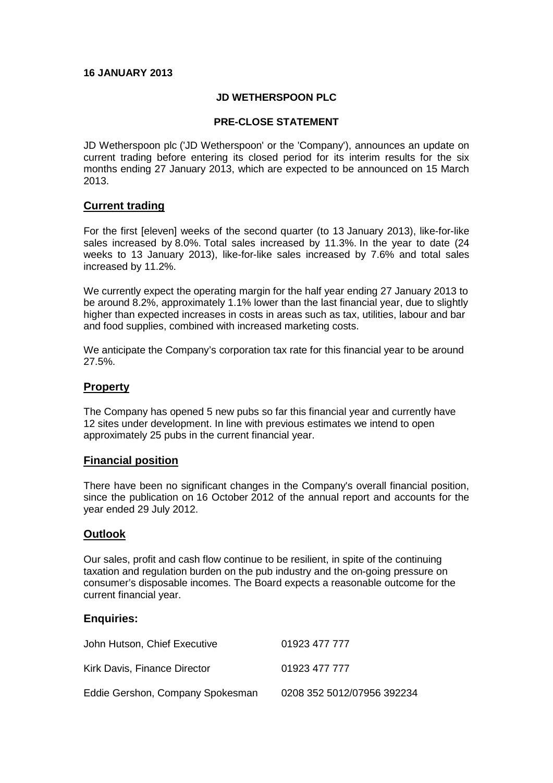# **16 JANUARY 2013**

# **JD WETHERSPOON PLC**

### **PRE-CLOSE STATEMENT**

JD Wetherspoon plc ('JD Wetherspoon' or the 'Company'), announces an update on current trading before entering its closed period for its interim results for the six months ending 27 January 2013, which are expected to be announced on 15 March 2013.

# **Current trading**

For the first [eleven] weeks of the second quarter (to 13 January 2013), like-for-like sales increased by 8.0%. Total sales increased by 11.3%. In the year to date (24 weeks to 13 January 2013), like-for-like sales increased by 7.6% and total sales increased by 11.2%.

We currently expect the operating margin for the half year ending 27 January 2013 to be around 8.2%, approximately 1.1% lower than the last financial year, due to slightly higher than expected increases in costs in areas such as tax, utilities, labour and bar and food supplies, combined with increased marketing costs.

We anticipate the Company's corporation tax rate for this financial year to be around 27.5%.

# **Property**

The Company has opened 5 new pubs so far this financial year and currently have 12 sites under development. In line with previous estimates we intend to open approximately 25 pubs in the current financial year.

### **Financial position**

There have been no significant changes in the Company's overall financial position, since the publication on 16 October 2012 of the annual report and accounts for the year ended 29 July 2012.

### **Outlook**

Our sales, profit and cash flow continue to be resilient, in spite of the continuing taxation and regulation burden on the pub industry and the on-going pressure on consumer's disposable incomes. The Board expects a reasonable outcome for the current financial year.

### **Enquiries:**

| John Hutson, Chief Executive     | 01923 477 777              |
|----------------------------------|----------------------------|
| Kirk Davis, Finance Director     | 01923 477 777              |
| Eddie Gershon, Company Spokesman | 0208 352 5012/07956 392234 |